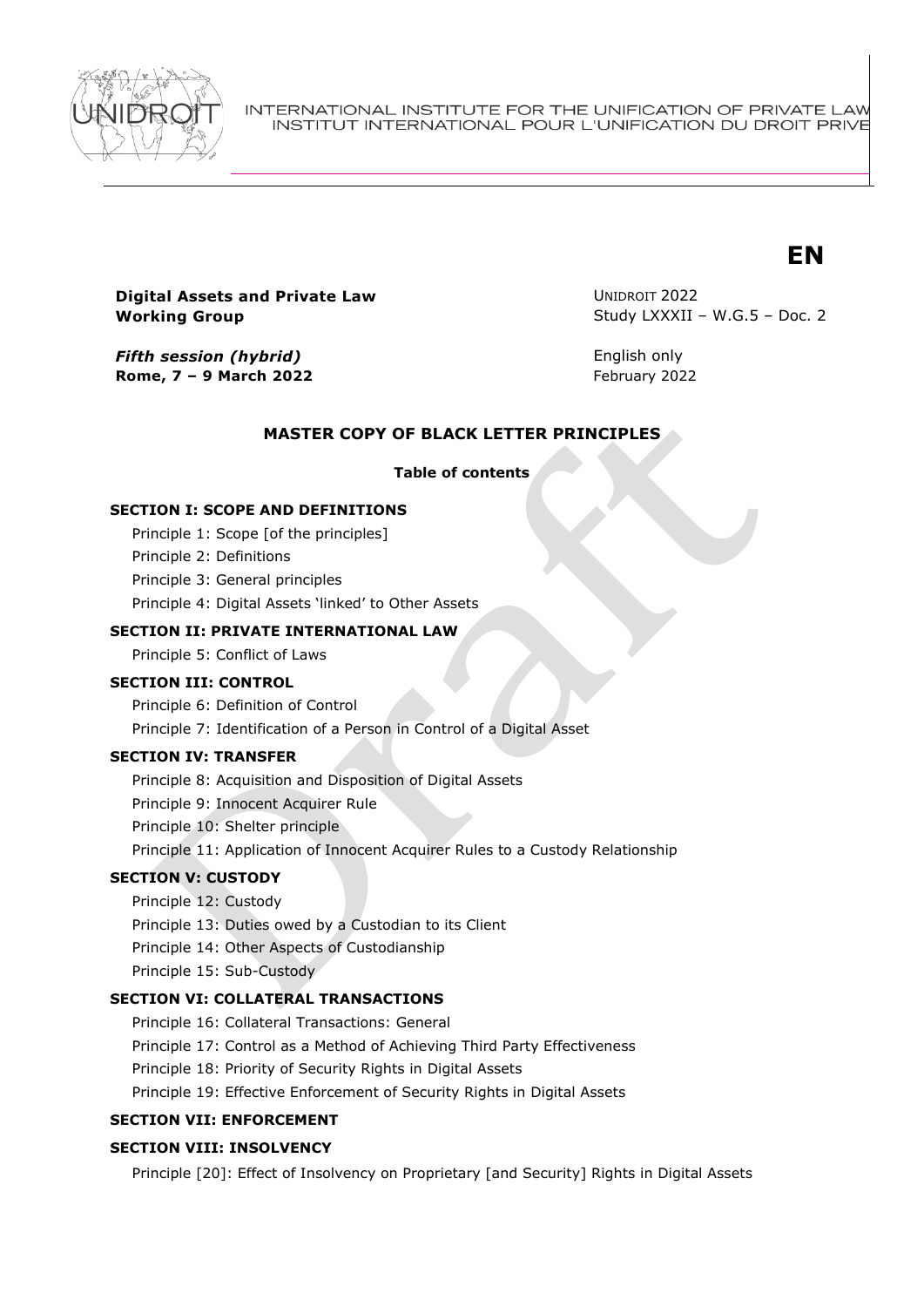

INTERNATIONAL INSTITUTE FOR THE UNIFICATION OF PRIVATE LAW INSTITUT INTERNATIONAL POUR L'UNIFICATION DU DROIT PRIVE

# **EN**

**Digital Assets and Private Law Working Group**

*Fifth session (hybrid)* **Rome, 7 – 9 March 2022** UNIDROIT 2022 Study LXXXII – W.G.5 – Doc. 2

English only February 2022

## **MASTER COPY OF BLACK LETTER PRINCIPLES**

# **Table of contents**

#### **SECTION I: SCOPE AND DEFINITIONS**

Principle 1: Scope [of the principles]

Principle 2: Definitions

Principle 3: General principles

Principle 4: Digital Assets 'linked' to Other Assets

### **SECTION II: PRIVATE INTERNATIONAL LAW**

Principle 5: Conflict of Laws

#### **SECTION III: CONTROL**

Principle 6: Definition of Control Principle 7: Identification of a Person in Control of a Digital Asset

#### **SECTION IV: TRANSFER**

Principle 8: Acquisition and Disposition of Digital Assets

Principle 9: Innocent Acquirer Rule

Principle 10: Shelter principle

Principle 11: Application of Innocent Acquirer Rules to a Custody Relationship

# **SECTION V: CUSTODY**

Principle 12: Custody

Principle 13: Duties owed by a Custodian to its Client

Principle 14: Other Aspects of Custodianship

Principle 15: Sub-Custody

#### **SECTION VI: COLLATERAL TRANSACTIONS**

Principle 16: Collateral Transactions: General

Principle 17: Control as a Method of Achieving Third Party Effectiveness

Principle 18: Priority of Security Rights in Digital Assets

Principle 19: Effective Enforcement of Security Rights in Digital Assets

#### **SECTION VII: ENFORCEMENT**

# **SECTION VIII: INSOLVENCY**

Principle [20]: Effect of Insolvency on Proprietary [and Security] Rights in Digital Assets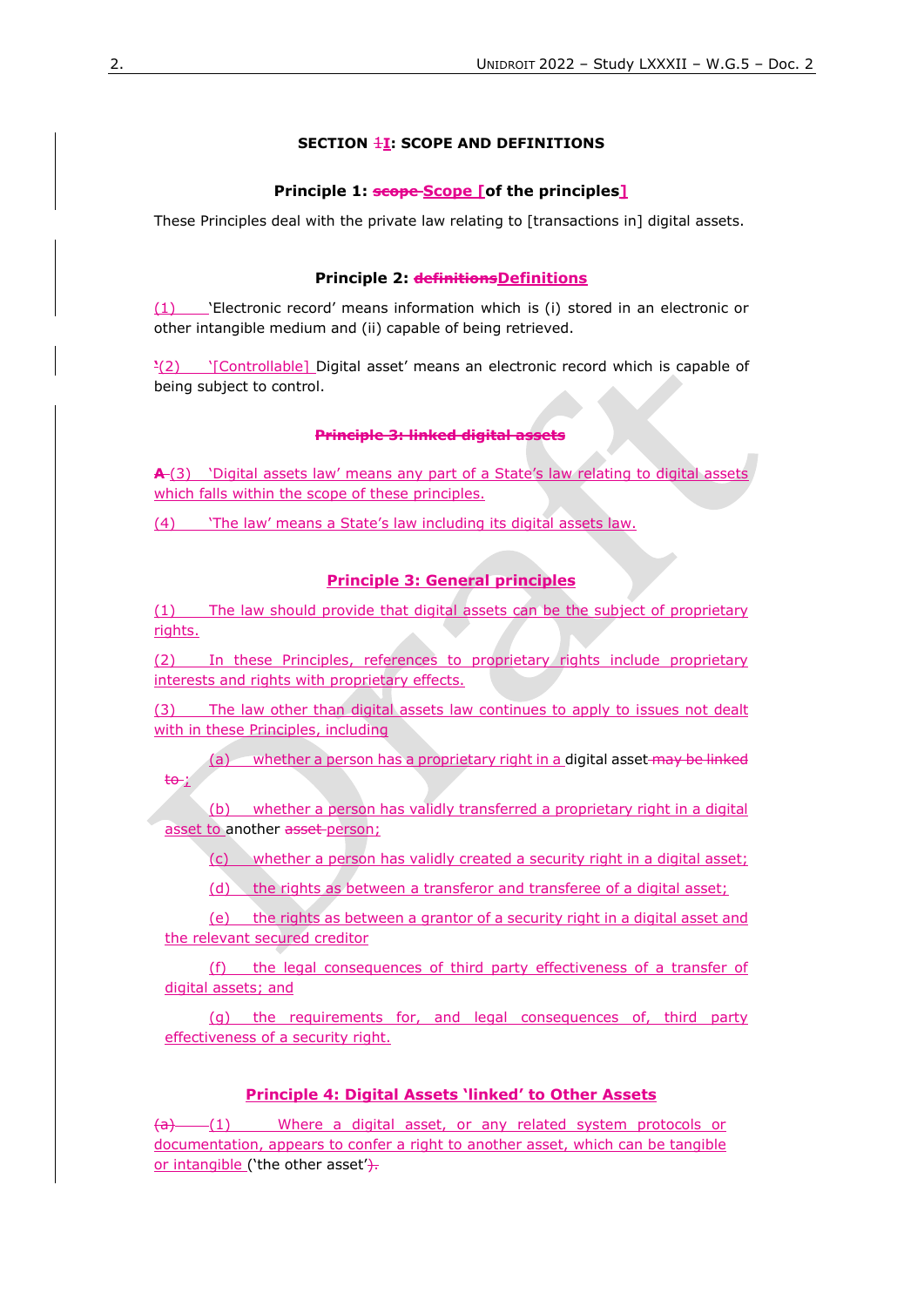## **SECTION**  $\frac{1}{2}$ **: SCOPE AND DEFINITIONS**

#### **Principle 1: <b>scope** Scope [of the principles]

These Principles deal with the private law relating to [transactions in] digital assets.

#### **Principle 2: <del>definitions</del>**Definitions

(1) 'Electronic record' means information which is (i) stored in an electronic or other intangible medium and (ii) capable of being retrieved.

**'**(2) '[Controllable] Digital asset' means an electronic record which is capable of being subject to control.

#### **Principle 3: linked digital assets**

**A** (3) 'Digital assets law' means any part of a State's law relating to digital assets which falls within the scope of these principles.

(4) 'The law' means a State's law including its digital assets law.

### **Principle 3: General principles**

(1) The law should provide that digital assets can be the subject of proprietary rights.

(2) In these Principles, references to proprietary rights include proprietary interests and rights with proprietary effects.

(3) The law other than digital assets law continues to apply to issues not dealt with in these Principles, including

(a) whether a person has a proprietary right in a digital asset may be linked  $tan<sup>2</sup>$ 

(b) whether a person has validly transferred a proprietary right in a digital asset to another asset-person;

(c) whether a person has validly created a security right in a digital asset;

(d) the rights as between a transferor and transferee of a digital asset;

(e) the rights as between a grantor of a security right in a digital asset and the relevant secured creditor

(f) the legal consequences of third party effectiveness of a transfer of digital assets; and

(g) the requirements for, and legal consequences of, third party effectiveness of a security right.

## **Principle 4: Digital Assets 'linked' to Other Assets**

 $(a)$  (1) Where a digital asset, or any related system protocols or documentation, appears to confer a right to another asset, which can be tangible or intangible ('the other asset').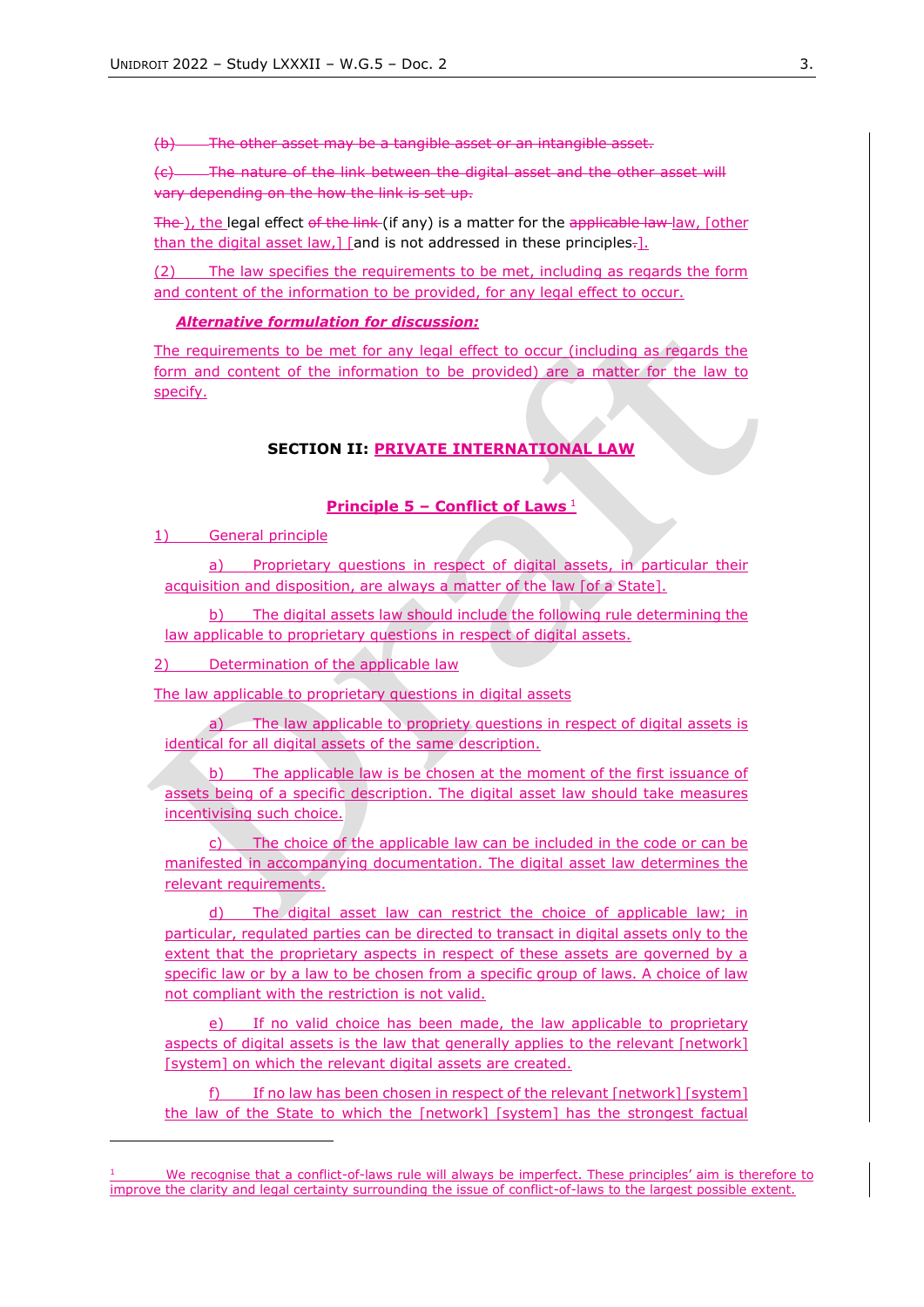(b) The other asset may be a tangible asset or an intangible asset.

(c) The nature of the link between the digital asset and the other asset will vary depending on the how the link is set up.

The ), the legal effect of the link (if any) is a matter for the applicable law law, [other than the digital asset law, I [and is not addressed in these principles-1.

(2) The law specifies the requirements to be met, including as regards the form and content of the information to be provided, for any legal effect to occur.

#### *Alternative formulation for discussion:*

The requirements to be met for any legal effect to occur (including as regards the form and content of the information to be provided) are a matter for the law to specify.

## **SECTION II: PRIVATE INTERNATIONAL LAW**

#### **Principle 5 – Conflict of Laws** <sup>1</sup>

1) General principle

Proprietary questions in respect of digital assets, in particular their acquisition and disposition, are always a matter of the law [of a State].

b) The digital assets law should include the following rule determining the law applicable to proprietary questions in respect of digital assets.

2) Determination of the applicable law

The law applicable to proprietary questions in digital assets

The law applicable to propriety questions in respect of digital assets is identical for all digital assets of the same description.

b) The applicable law is be chosen at the moment of the first issuance of assets being of a specific description. The digital asset law should take measures incentivising such choice.

The choice of the applicable law can be included in the code or can be manifested in accompanying documentation. The digital asset law determines the relevant requirements.

d) The digital asset law can restrict the choice of applicable law; in particular, regulated parties can be directed to transact in digital assets only to the extent that the proprietary aspects in respect of these assets are governed by a specific law or by a law to be chosen from a specific group of laws. A choice of law not compliant with the restriction is not valid.

If no valid choice has been made, the law applicable to proprietary aspects of digital assets is the law that generally applies to the relevant [network] [system] on which the relevant digital assets are created.

f) If no law has been chosen in respect of the relevant [network] [system] the law of the State to which the [network] [system] has the strongest factual

We recognise that a conflict-of-laws rule will always be imperfect. These principles' aim is therefore to improve the clarity and legal certainty surrounding the issue of conflict-of-laws to the largest possible extent.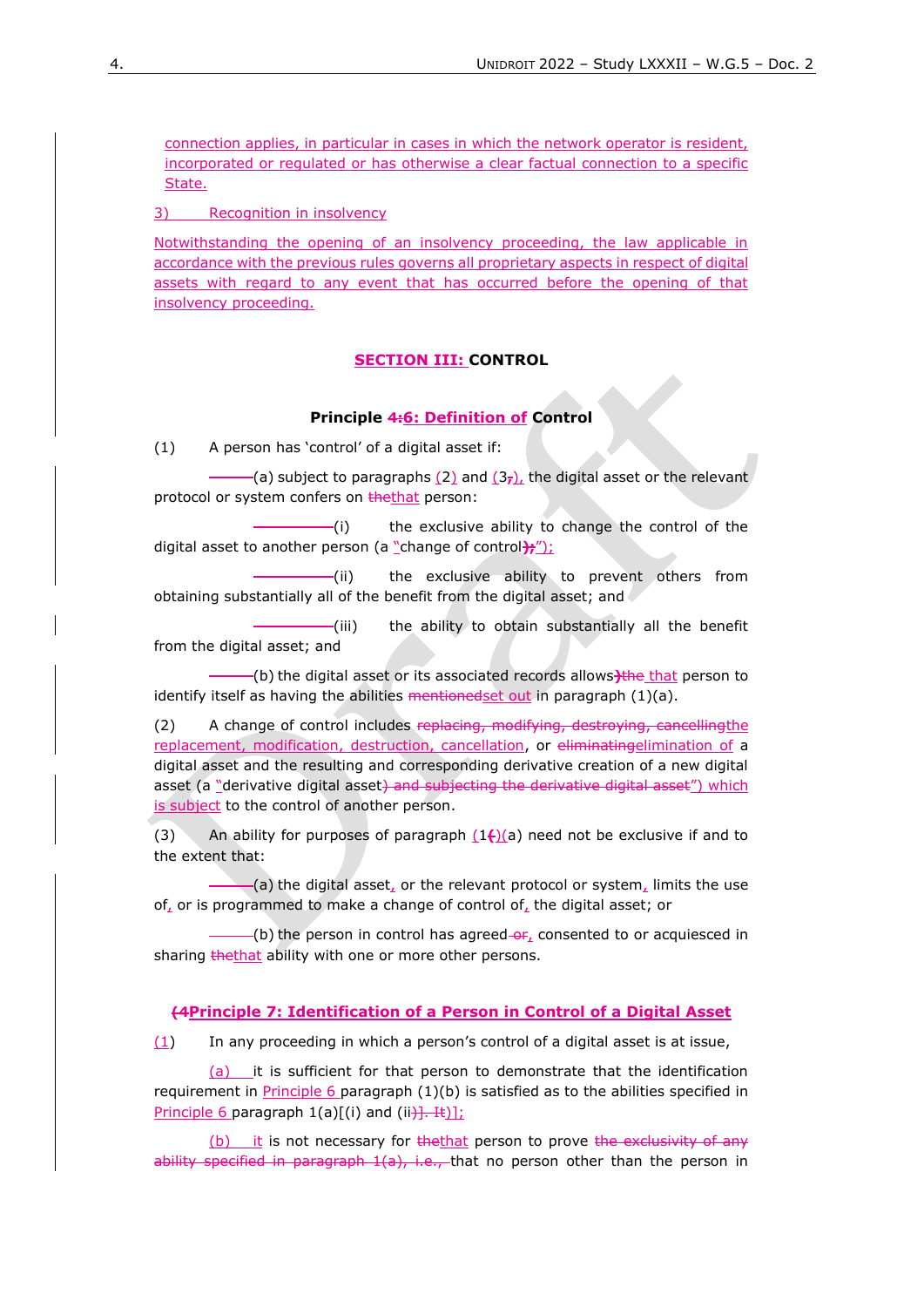connection applies, in particular in cases in which the network operator is resident, incorporated or regulated or has otherwise a clear factual connection to a specific State.

3) Recognition in insolvency

Notwithstanding the opening of an insolvency proceeding, the law applicable in accordance with the previous rules governs all proprietary aspects in respect of digital assets with regard to any event that has occurred before the opening of that insolvency proceeding.

## **SECTION III: CONTROL**

#### **Principle 4:6: Definition of Control**

(1) A person has 'control' of a digital asset if:

(a) subject to paragraphs (2) and (3**,**), the digital asset or the relevant protocol or system confers on thethat person:

(i) the exclusive ability to change the control of the digital asset to another person (a "change of control**);**");

(ii) the exclusive ability to prevent others from obtaining substantially all of the benefit from the digital asset; and

(iii) the ability to obtain substantially all the benefit from the digital asset; and

(b) the digital asset or its associated records allows**)**the that person to identify itself as having the abilities  $\frac{1}{100}$  mentionedset out in paragraph (1)(a).

(2) A change of control includes replacing, modifying, destroying, cancellingthe replacement, modification, destruction, cancellation, or eliminatingelimination of a digital asset and the resulting and corresponding derivative creation of a new digital asset (a "derivative digital asset) and subjecting the derivative digital asset") which is subject to the control of another person.

(3) An ability for purposes of paragraph  $(1)$ (a) need not be exclusive if and to the extent that:

 $-(a)$  the digital asset, or the relevant protocol or system, limits the use of, or is programmed to make a change of control of, the digital asset; or

 $-(b)$  the person in control has agreed  $-6f<sub>4</sub>$  consented to or acquiesced in sharing thethat ability with one or more other persons.

## **(4Principle 7: Identification of a Person in Control of a Digital Asset**

 $(1)$  In any proceeding in which a person's control of a digital asset is at issue,

(a) it is sufficient for that person to demonstrate that the identification requirement in Principle 6 paragraph (1)(b) is satisfied as to the abilities specified in Principle 6 paragraph  $1(a)[(i)$  and  $(ii)$ ]. It)];

 $(b)$  it is not necessary for the that person to prove the exclusivity of any ability specified in paragraph  $1(a)$ , i.e., that no person other than the person in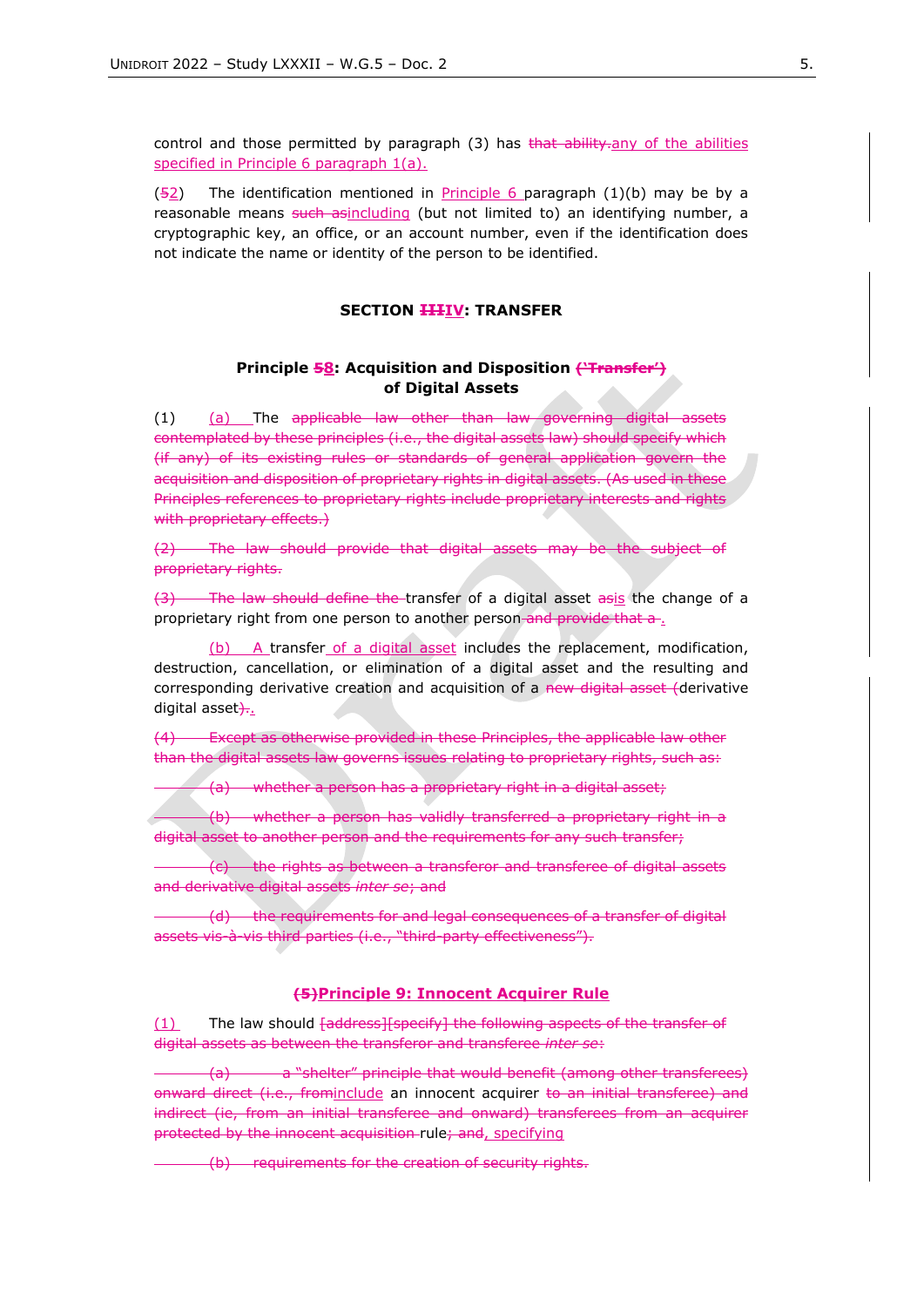control and those permitted by paragraph  $(3)$  has that ability-any of the abilities specified in Principle 6 paragraph 1(a).

 $(52)$  The identification mentioned in Principle 6 paragraph  $(1)(b)$  may be by a reasonable means such asincluding (but not limited to) an identifying number, a cryptographic key, an office, or an account number, even if the identification does not indicate the name or identity of the person to be identified.

#### **SECTION IIIIV: TRANSFER**

### **Principle 58: Acquisition and Disposition ('Transfer') of Digital Assets**

(1) (a) The applicable law other than law governing digital assets contemplated by these principles (i.e., the digital assets law) should specify which (if any) of its existing rules or standards of general application govern the acquisition and disposition of proprietary rights in digital assets. (As used in these Principles references to proprietary rights include proprietary interests and rights with proprietary effects.)

(2) The law should provide that digital assets may be the subject of proprietary rights.

(3) The law should define the transfer of a digital asset asis the change of a proprietary right from one person to another person and provide that a ...

(b) A transfer of a digital asset includes the replacement, modification, destruction, cancellation, or elimination of a digital asset and the resulting and corresponding derivative creation and acquisition of a new digital asset (derivative digital asset $\frac{1}{2}$ .

(4) Except as otherwise provided in these Principles, the applicable law other than the digital assets law governs issues relating to proprietary rights, such as:

(a) whether a person has a proprietary right in a digital asset;

(b) whether a person has validly transferred a proprietary right in a digital asset to another person and the requirements for any such transfer;

(c) the rights as between a transferor and transferee of digital assets and derivative digital assets *inter se*; and

(d) the requirements for and legal consequences of a transfer of digital assets vis-à-vis third parties (i.e., "third-party effectiveness").

## **(5)Principle 9: Innocent Acquirer Rule**

(1) The law should faddress][specify] the following aspects of the transfer of digital assets as between the transferor and transferee *inter se*:

(a) a "shelter" principle that would benefit (among other transferees) onward direct (i.e., frominclude an innocent acquirer to an initial transferee) and indirect (ie, from an initial transferee and onward) transferees from an acquirer protected by the innocent acquisition rule; and, specifying

(b) requirements for the creation of security rights.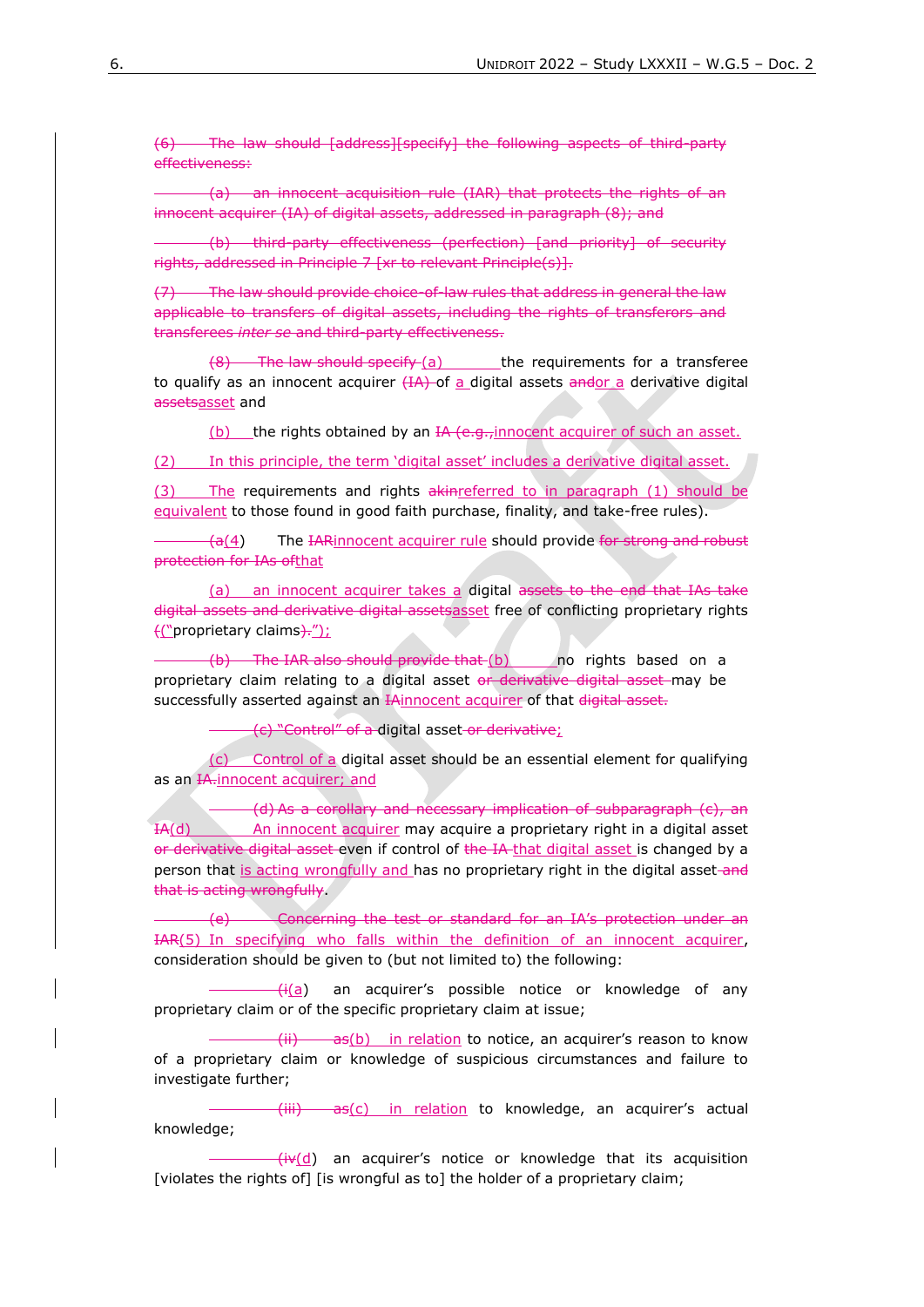(6) The law should [address][specify] the following aspects of third-party effectiveness:

(a) an innocent acquisition rule (IAR) that protects the rights of an innocent acquirer (IA) of digital assets, addressed in paragraph (8); and

(b) third-party effectiveness (perfection) [and priority] of security rights, addressed in Principle 7 [xr to relevant Principle(s)].

The law should provide choice-of-law rules that address in general the law applicable to transfers of digital assets, including the rights of transferors and transferees *inter se* and third-party effectiveness.

 $(8)$  The law should specify  $(a)$  the requirements for a transferee to qualify as an innocent acquirer  $(HA)$  of a digital assets andor a derivative digital assetsasset and

(b) the rights obtained by an IA (e.g.,innocent acquirer of such an asset.

(2) In this principle, the term 'digital asset' includes a derivative digital asset.

(3) The requirements and rights akin-referred to in paragraph (1) should be equivalent to those found in good faith purchase, finality, and take-free rules).

 $(a(4))$  The IARinnocent acquirer rule should provide for strong and robust protection for IAs ofthat

(a) an innocent acquirer takes a digital assets to the end that IAs take digital assets and derivative digital assetsasset free of conflicting proprietary rights ("proprietary claims);

 $(b)$  The IAR also should provide that  $(b)$  no rights based on a proprietary claim relating to a digital asset or derivative digital asset may be successfully asserted against an IAinnocent acquirer of that digital asset.

(c) "Control" of a digital asset or derivative;

(c) Control of a digital asset should be an essential element for qualifying as an IA-innocent acquirer; and

(d) As a corollary and necessary implication of subparagraph (c), an IA(d) An innocent acquirer may acquire a proprietary right in a digital asset or derivative digital asset even if control of the IA-that digital asset is changed by a person that is acting wrongfully and has no proprietary right in the digital asset-and that is acting wrongfully.

(e) Concerning the test or standard for an IA's protection under an IAR(5) In specifying who falls within the definition of an innocent acquirer, consideration should be given to (but not limited to) the following:

 $\frac{f_{\mathsf{H}}(a)}{f_{\mathsf{H}}(a)}$  an acquirer's possible notice or knowledge of any proprietary claim or of the specific proprietary claim at issue;

 $\frac{f(i)}{i}$  as(b) in relation to notice, an acquirer's reason to know of a proprietary claim or knowledge of suspicious circumstances and failure to investigate further;

(iii) as(c) in relation to knowledge, an acquirer's actual knowledge;

 $(iv(d)$  an acquirer's notice or knowledge that its acquisition [violates the rights of] [is wrongful as to] the holder of a proprietary claim;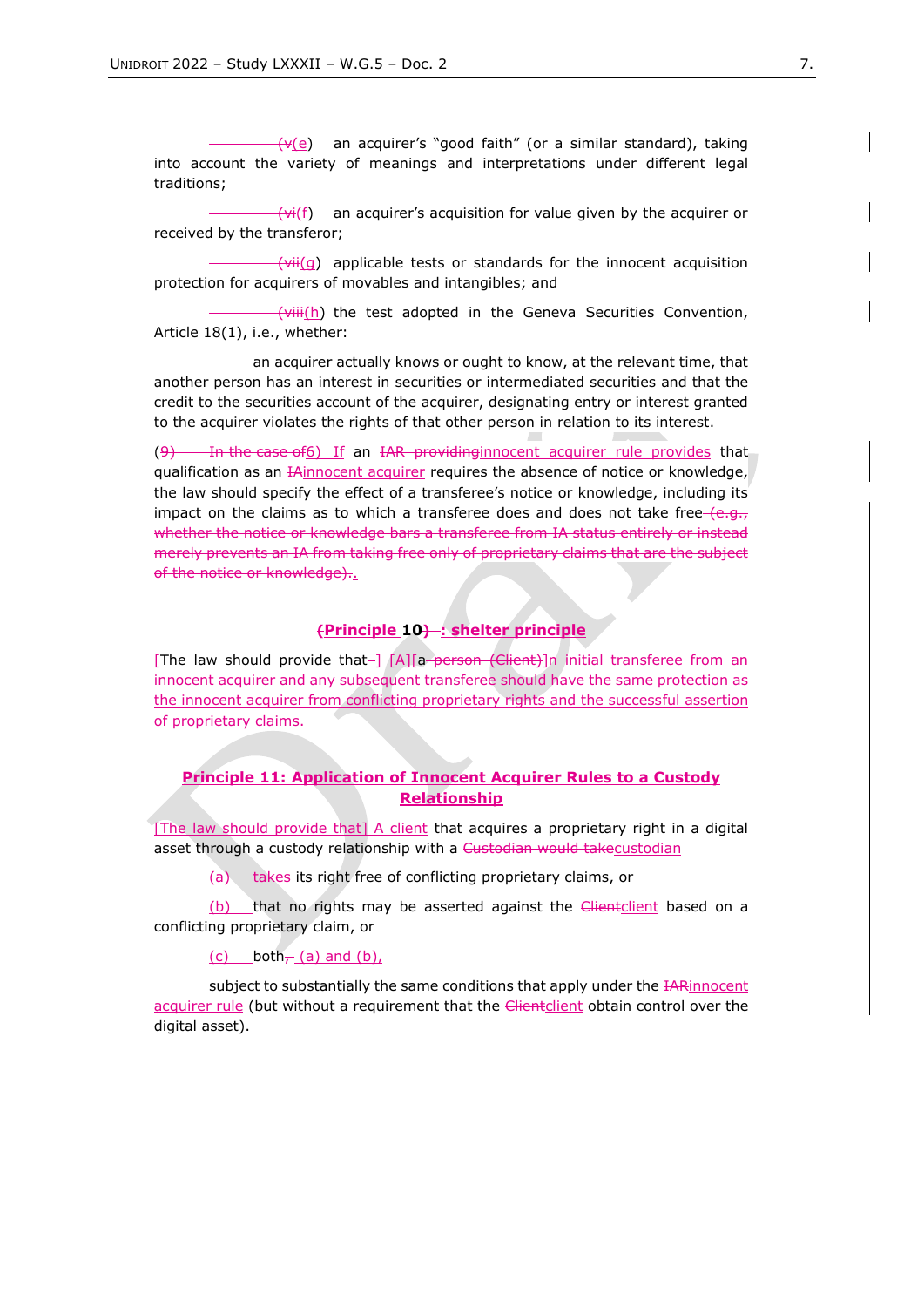$(v(e))$  an acquirer's "good faith" (or a similar standard), taking into account the variety of meanings and interpretations under different legal traditions;

 $-\left(\frac{V_i(f)}{f}\right)$  an acquirer's acquisition for value given by the acquirer or received by the transferor;

 $\frac{1}{\sqrt{v^2+1}}$  applicable tests or standards for the innocent acquisition protection for acquirers of movables and intangibles; and

 $\frac{1}{\sqrt{v}}$  the test adopted in the Geneva Securities Convention, Article 18(1), i.e., whether:

an acquirer actually knows or ought to know, at the relevant time, that another person has an interest in securities or intermediated securities and that the credit to the securities account of the acquirer, designating entry or interest granted to the acquirer violates the rights of that other person in relation to its interest.

In the case of6) If an IAR providing innocent acquirer rule provides that qualification as an HAinnocent acquirer requires the absence of notice or knowledge, the law should specify the effect of a transferee's notice or knowledge, including its impact on the claims as to which a transferee does and does not take free  $(e.g.,$ whether the notice or knowledge bars a transferee from IA status entirely or instead merely prevents an IA from taking free only of proprietary claims that are the subject of the notice or knowledge)..

#### **(Principle 10) : shelter principle**

[The law should provide that- $\left[\frac{A}{a}\right]$  = person (Client)]n initial transferee from an innocent acquirer and any subsequent transferee should have the same protection as the innocent acquirer from conflicting proprietary rights and the successful assertion of proprietary claims.

## **Principle 11: Application of Innocent Acquirer Rules to a Custody Relationship**

[The law should provide that] A client that acquires a proprietary right in a digital asset through a custody relationship with a Custodian would takecustodian

(a) takes its right free of conflicting proprietary claims, or

(b) that no rights may be asserted against the *Clientclient* based on a conflicting proprietary claim, or

(c) both $\frac{\pi}{6}$  (a) and (b),

subject to substantially the same conditions that apply under the **IAR**innocent acquirer rule (but without a requirement that the Clientclient obtain control over the digital asset).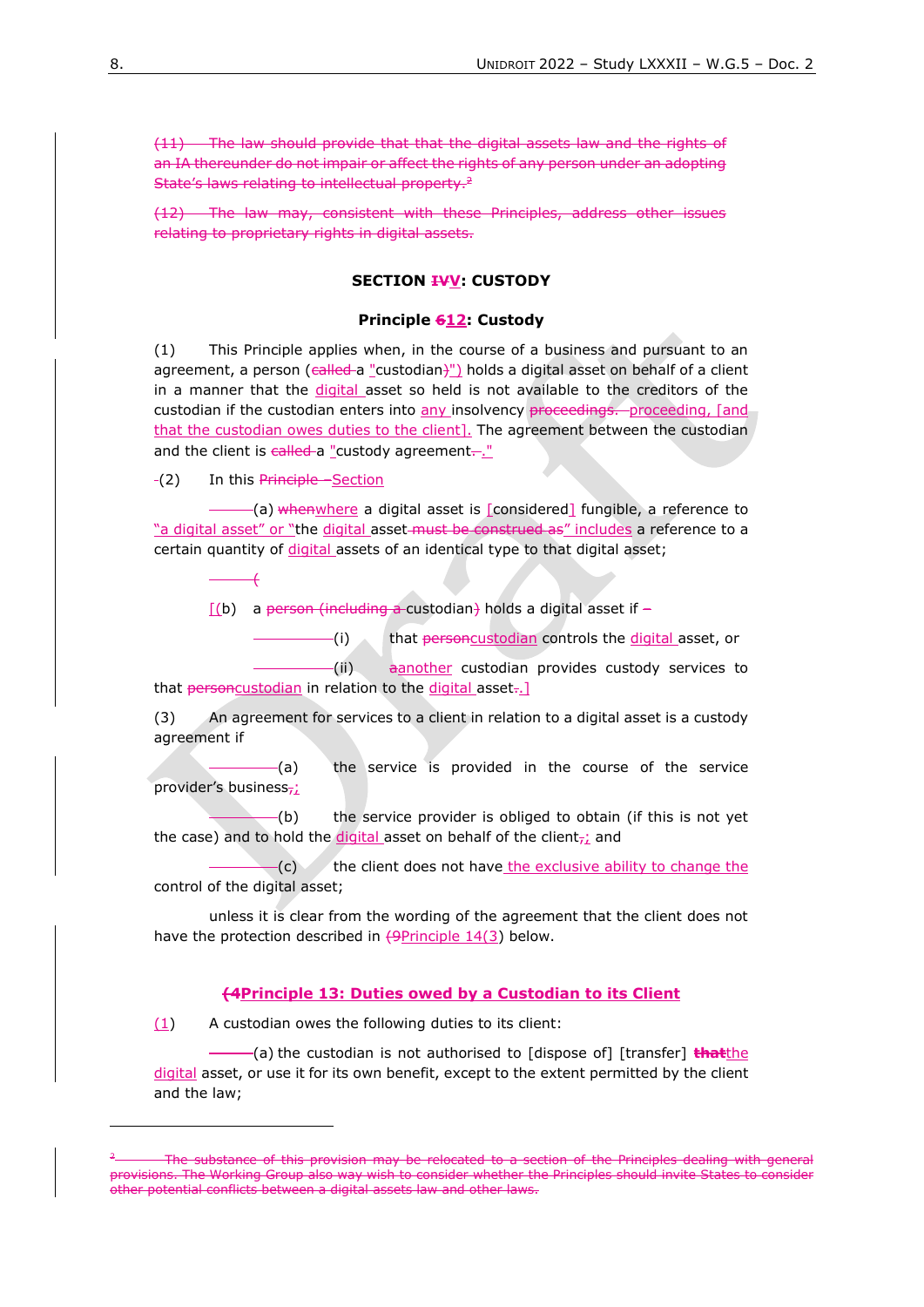(11) The law should provide that that the digital assets law and the rights of an IA thereunder do not impair or affect the rights of any person under an adopting State's laws relating to intellectual property.<sup>2</sup>

(12) The law may, consistent with these Principles, address other issues relating to proprietary rights in digital assets.

# **SECTION IVV: CUSTODY**

#### **Principle 612: Custody**

(1) This Principle applies when, in the course of a business and pursuant to an agreement, a person (called a "custodian)") holds a digital asset on behalf of a client in a manner that the digital asset so held is not available to the creditors of the custodian if the custodian enters into any insolvency proceedings. proceeding, [and that the custodian owes duties to the client]. The agreement between the custodian and the client is  $\epsilon$ alled a "custody agreement..."

-(2) In this Principle –Section

-(a) whenwhere a digital asset is [considered] fungible, a reference to "a digital asset" or "the digital asset-must be construed as" includes a reference to a certain quantity of digital assets of an identical type to that digital asset;

(

 $[(b)$  a person (including a custodian) holds a digital asset if –

(i) that personcustodian controls the digital asset, or

(ii) another custodian provides custody services to that personcustodian in relation to the digital asset..]

(3) An agreement for services to a client in relation to a digital asset is a custody agreement if

(a) the service is provided in the course of the service provider's business<sub>7</sub>;

 $-(b)$  the service provider is obliged to obtain (if this is not yet the case) and to hold the digital asset on behalf of the client $\tau_{\text{L}}$  and

 $f(c)$  the client does not have the exclusive ability to change the control of the digital asset;

unless it is clear from the wording of the agreement that the client does not have the protection described in  $\left( \frac{9 \text{Principle } 14(3)}{9} \right)$  below.

#### **(4Principle 13: Duties owed by a Custodian to its Client**

(1) A custodian owes the following duties to its client:

(a) the custodian is not authorised to [dispose of] [transfer] **that**the digital asset, or use it for its own benefit, except to the extent permitted by the client and the law;

The substance of this provision may be relocated to a section of the Principles dealing with general provisions. The Working Group also way wish to consider whether the Principles should invite States to consider other potential conflicts between a digital assets law and other laws.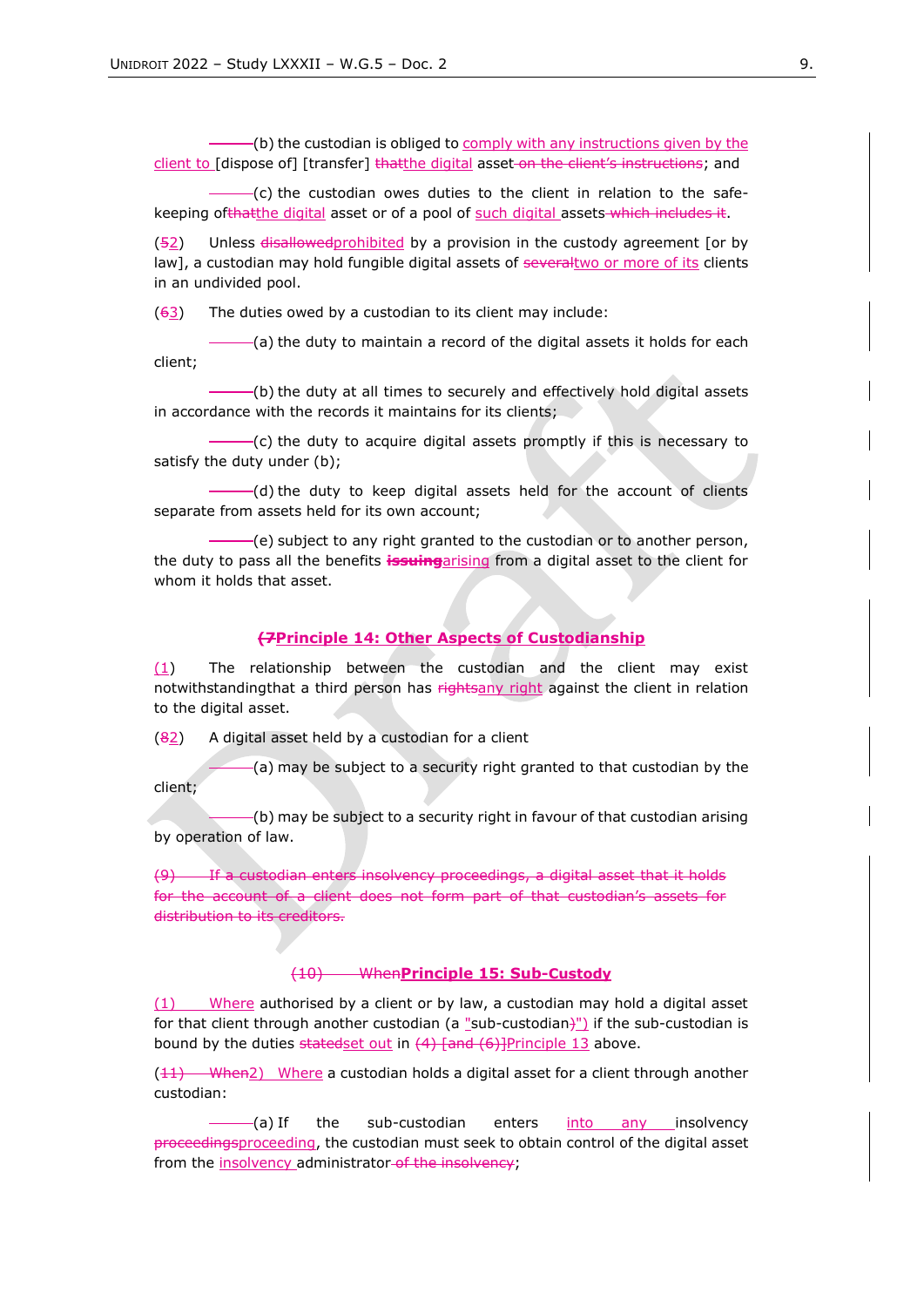(b) the custodian is obliged to comply with any instructions given by the client to [dispose of] [transfer] thatthe digital asset-on the client's instructions; and

(c) the custodian owes duties to the client in relation to the safekeeping ofthatthe digital asset or of a pool of such digital assets which includes it.

(52) Unless disallowed prohibited by a provision in the custody agreement [or by law], a custodian may hold fungible digital assets of severaltwo or more of its clients in an undivided pool.

 $(63)$  The duties owed by a custodian to its client may include:

(a) the duty to maintain a record of the digital assets it holds for each client;

(b) the duty at all times to securely and effectively hold digital assets in accordance with the records it maintains for its clients;

(c) the duty to acquire digital assets promptly if this is necessary to satisfy the duty under (b);

(d) the duty to keep digital assets held for the account of clients separate from assets held for its own account;

(e) subject to any right granted to the custodian or to another person, the duty to pass all the benefits **issuing**arising from a digital asset to the client for whom it holds that asset.

#### **(7Principle 14: Other Aspects of Custodianship**

 $(1)$  The relationship between the custodian and the client may exist notwithstandingthat a third person has rightsany right against the client in relation to the digital asset.

 $(82)$  A digital asset held by a custodian for a client

(a) may be subject to a security right granted to that custodian by the client;

(b) may be subject to a security right in favour of that custodian arising by operation of law.

(9) If a custodian enters insolvency proceedings, a digital asset that it holds for the account of a client does not form part of that custodian's assets for distribution to its creditors.

#### (10) When**Principle 15: Sub-Custody**

(1) Where authorised by a client or by law, a custodian may hold a digital asset for that client through another custodian (a "sub-custodian)") if the sub-custodian is bound by the duties statedset out in  $(4)$  [and  $(6)$ ]Principle 13 above.

 $(11)$  When2) Where a custodian holds a digital asset for a client through another custodian:

(a) If the sub-custodian enters into any insolvency proceedingsproceeding, the custodian must seek to obtain control of the digital asset from the insolvency administrator of the insolvency;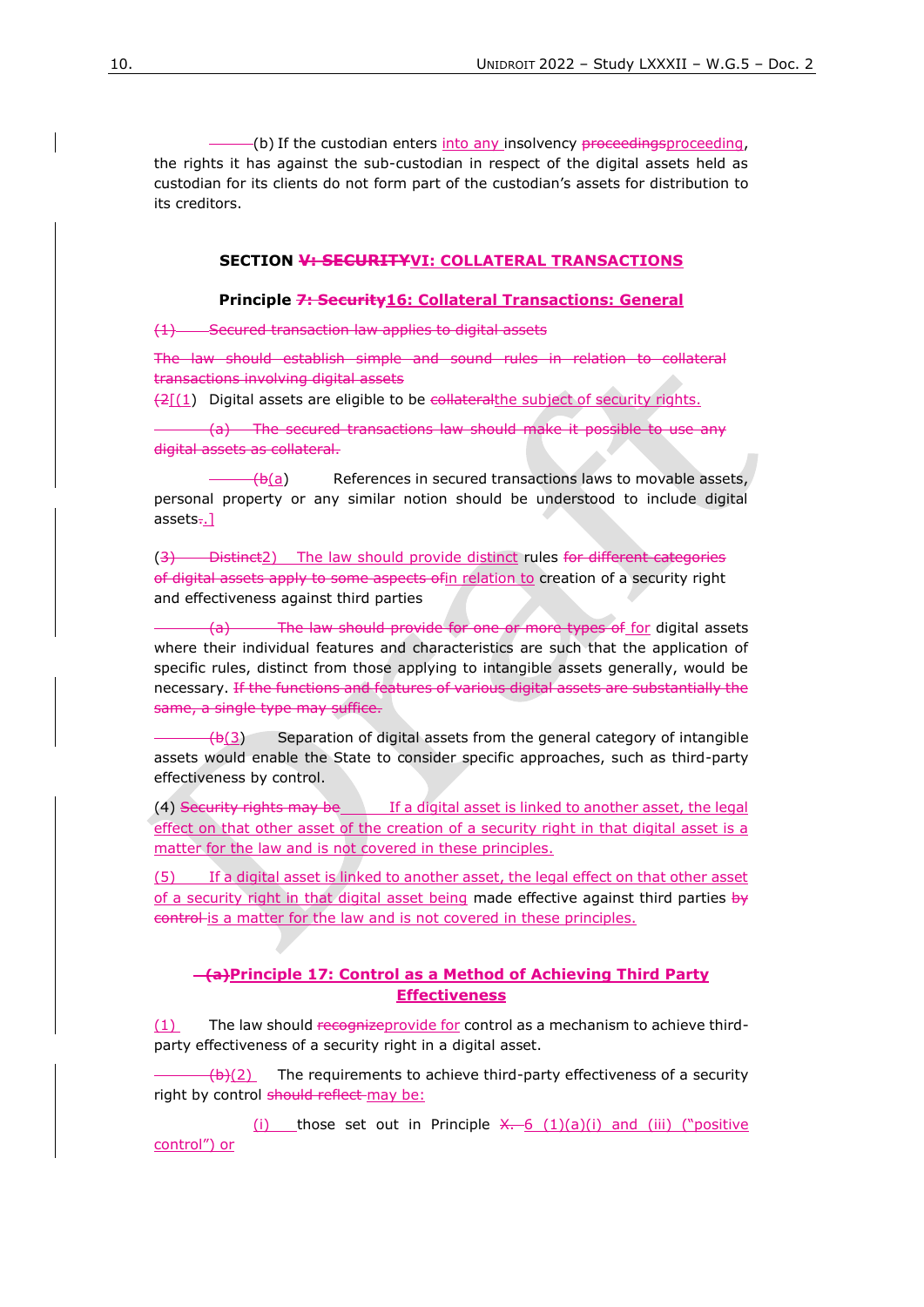(b) If the custodian enters into any insolvency proceedingsproceeding, the rights it has against the sub-custodian in respect of the digital assets held as custodian for its clients do not form part of the custodian's assets for distribution to its creditors.

#### **SECTION V: SECURITYVI: COLLATERAL TRANSACTIONS**

**Principle 7: Security16: Collateral Transactions: General**

(1) Secured transaction law applies to digital assets

The law should establish simple and sound rules in relation to collateral transactions involving digital assets

 $\left(2\right)$  Digital assets are eligible to be collateralthe subject of security rights.

(a) The secured transactions law should make it possible to use any digital assets as collateral.

 $\left(\frac{b(a)}{a}\right)$  References in secured transactions laws to movable assets, personal property or any similar notion should be understood to include digital assets..]

(3) Distinct2) The law should provide distinct rules for different categories of digital assets apply to some aspects ofin relation to creation of a security right and effectiveness against third parties

(a) The law should provide for one or more types of for digital assets where their individual features and characteristics are such that the application of specific rules, distinct from those applying to intangible assets generally, would be necessary. If the functions and features of various digital assets are substantially the same, a single type may suffice.

 $(b(3))$  Separation of digital assets from the general category of intangible assets would enable the State to consider specific approaches, such as third-party effectiveness by control.

(4) Security rights may be If a digital asset is linked to another asset, the legal effect on that other asset of the creation of a security right in that digital asset is a matter for the law and is not covered in these principles.

(5) If a digital asset is linked to another asset, the legal effect on that other asset of a security right in that digital asset being made effective against third parties  $b\dot{v}$ control is a matter for the law and is not covered in these principles.

## **(a)Principle 17: Control as a Method of Achieving Third Party Effectiveness**

(1) The law should recognizeprovide for control as a mechanism to achieve thirdparty effectiveness of a security right in a digital asset.

 $\frac{f(b)(2)}{2}$  The requirements to achieve third-party effectiveness of a security right by control should reflect-may be:

(i) those set out in Principle  $X - 6$  (1)(a)(i) and (iii) ("positive control") or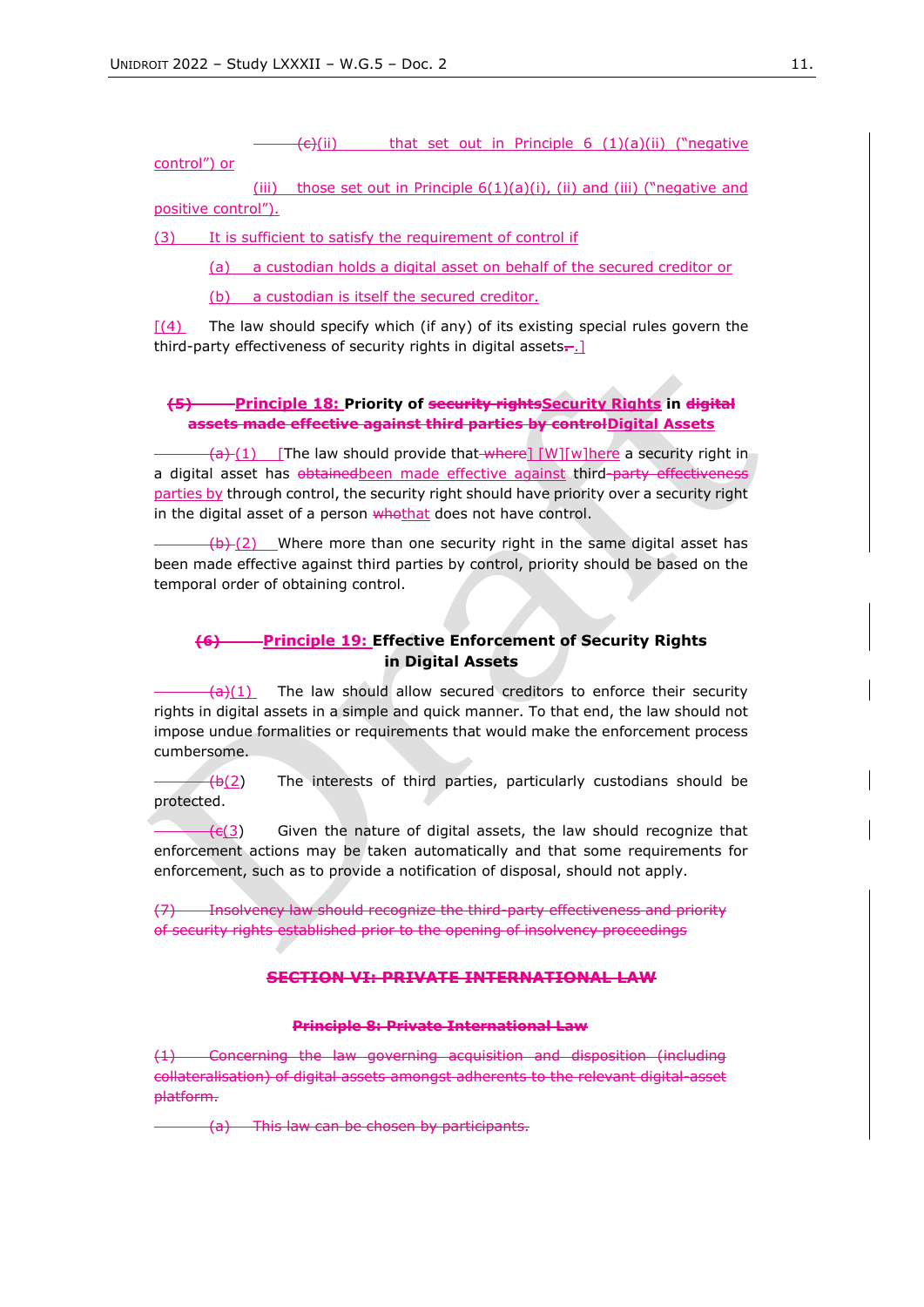$\overline{(e)}$ (ii) that set out in Principle 6 (1)(a)(ii) ("negative

# control") or

(iii) those set out in Principle  $6(1)(a)(i)$ , (ii) and (iii) ("negative and positive control").

(3) It is sufficient to satisfy the requirement of control if

(a) a custodian holds a digital asset on behalf of the secured creditor or

(b) a custodian is itself the secured creditor.

 $(4)$  The law should specify which (if any) of its existing special rules govern the third-party effectiveness of security rights in digital assets**.** .]

# **(5) Principle 18: Priority of security rightsSecurity Rights in digital assets made effective against third parties by controlDigital Assets**

 $\frac{1}{2}$  (1) [The law should provide that where] [W][w]here a security right in a digital asset has obtainedbeen made effective against third-party effectiveness parties by through control, the security right should have priority over a security right in the digital asset of a person whothat does not have control.

 $(b)$  (2) Where more than one security right in the same digital asset has been made effective against third parties by control, priority should be based on the temporal order of obtaining control.

# **(6) Principle 19: Effective Enforcement of Security Rights in Digital Assets**

 $\frac{1}{a}(1)$  The law should allow secured creditors to enforce their security rights in digital assets in a simple and quick manner. To that end, the law should not impose undue formalities or requirements that would make the enforcement process cumbersome.

 $-(b(2))$  The interests of third parties, particularly custodians should be protected.

 $\frac{f \cdot f}{f}$  Given the nature of digital assets, the law should recognize that enforcement actions may be taken automatically and that some requirements for enforcement, such as to provide a notification of disposal, should not apply.

(7) Insolvency law should recognize the third-party effectiveness and priority of security rights established prior to the opening of insolvency proceedings

# **SECTION VI: PRIVATE INTERNATIONAL LAW**

#### **Principle 8: Private International Law**

(1) Concerning the law governing acquisition and disposition (including collateralisation) of digital assets amongst adherents to the relevant digital-asset platform.

(a) This law can be chosen by participants.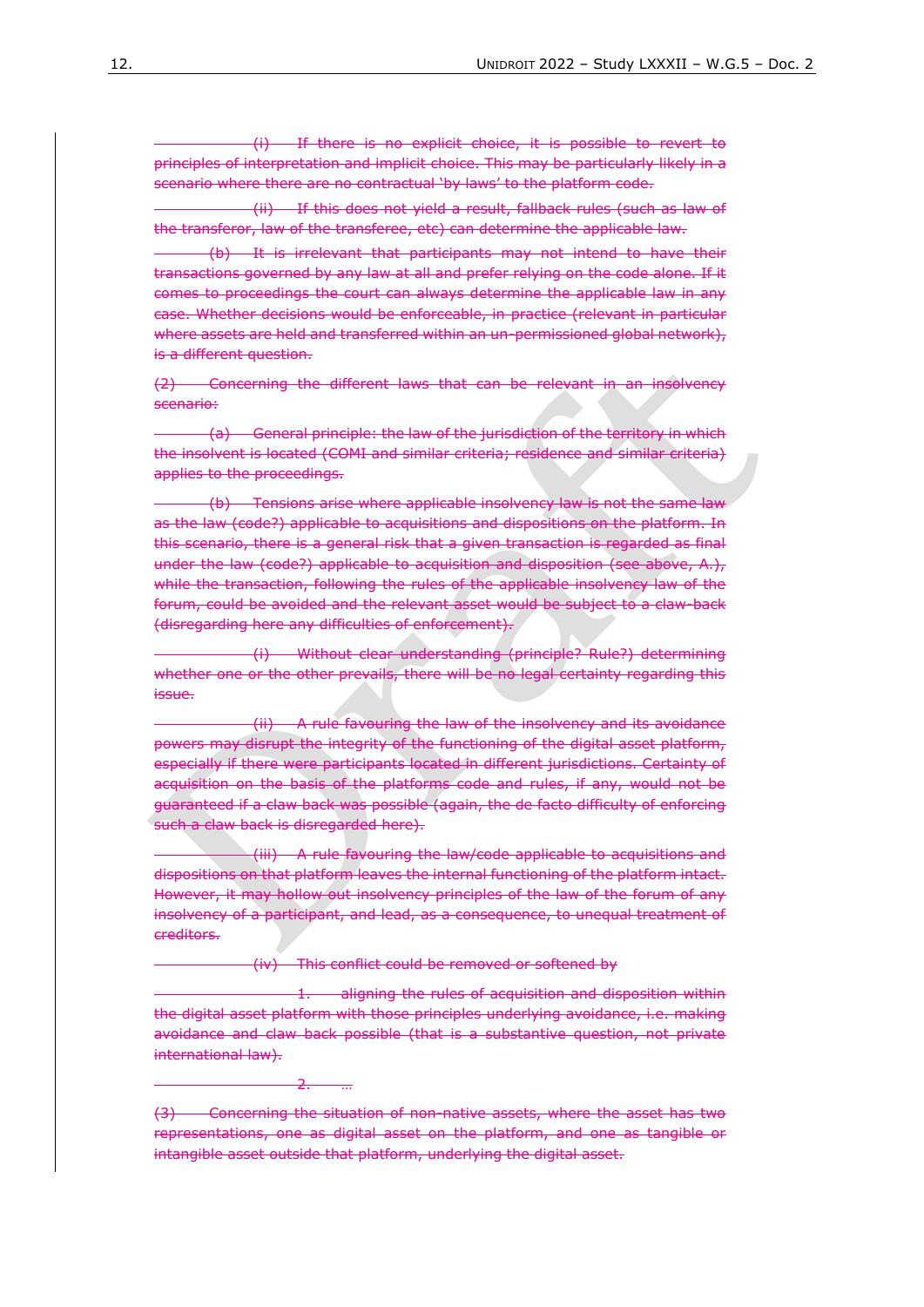(i) If there is no explicit choice, it is possible to revert to principles of interpretation and implicit choice. This may be particularly likely in a scenario where there are no contractual 'by laws' to the platform code.

(ii) If this does not yield a result, fallback rules (such as law of the transferor, law of the transferee, etc) can determine the applicable law.

(b) It is irrelevant that participants may not intend to have their transactions governed by any law at all and prefer relying on the code alone. If it comes to proceedings the court can always determine the applicable law in any case. Whether decisions would be enforceable, in practice (relevant in particular where assets are held and transferred within an un-permissioned global network), is a different question.

(2) Concerning the different laws that can be relevant in an insolvency scenario:

(a) General principle: the law of the jurisdiction of the territory in which the insolvent is located (COMI and similar criteria; residence and similar criteria) applies to the proceedings.

(b) Tensions arise where applicable insolvency law is not the same law as the law (code?) applicable to acquisitions and dispositions on the platform. In this scenario, there is a general risk that a given transaction is regarded as final under the law (code?) applicable to acquisition and disposition (see above, A.), while the transaction, following the rules of the applicable insolvency law of the forum, could be avoided and the relevant asset would be subject to a claw-back (disregarding here any difficulties of enforcement).

(i) Without clear understanding (principle? Rule?) determining whether one or the other prevails, there will be no legal certainty regarding this issue.

(ii) A rule favouring the law of the insolvency and its avoidance powers may disrupt the integrity of the functioning of the digital asset platform, especially if there were participants located in different jurisdictions. Certainty of acquisition on the basis of the platforms code and rules, if any, would not be guaranteed if a claw back was possible (again, the de facto difficulty of enforcing such a claw back is disregarded here).

(iii) A rule favouring the law/code applicable to acquisitions and dispositions on that platform leaves the internal functioning of the platform intact. However, it may hollow out insolvency principles of the law of the forum of any insolvency of a participant, and lead, as a consequence, to unequal treatment of creditors.

(iv) This conflict could be removed or softened by

aligning the rules of acquisition and disposition within the digital asset platform with those principles underlying avoidance, i.e. making avoidance and claw back possible (that is a substantive question, not private international law).

 $\overline{2}$ .

<sup>(3)</sup> Concerning the situation of non-native assets, where the asset has two representations, one as digital asset on the platform, and one as tangible or intangible asset outside that platform, underlying the digital asset.